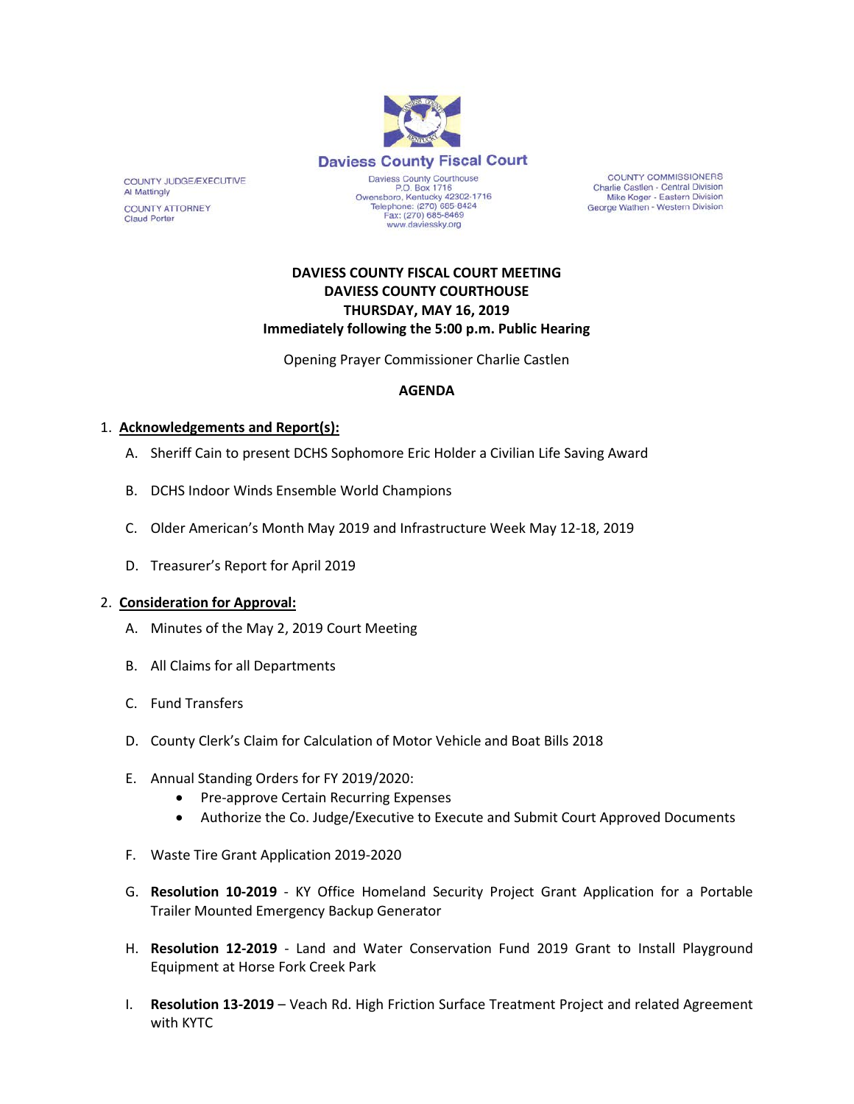

COUNTY COMMISSIONERS Charlie Castlen - Central Division<br>Mike Koger - Eastern Division George Wathen - Western Division

# **DAVIESS COUNTY FISCAL COURT MEETING DAVIESS COUNTY COURTHOUSE THURSDAY, MAY 16, 2019 Immediately following the 5:00 p.m. Public Hearing**

Opening Prayer Commissioner Charlie Castlen

# **AGENDA**

# 1. **Acknowledgements and Report(s):**

COUNTY JUDGE/EXECUTIVE

COUNTY ATTORNEY **Claud Porter** 

Al Mattingly

- A. Sheriff Cain to present DCHS Sophomore Eric Holder a Civilian Life Saving Award
- B. DCHS Indoor Winds Ensemble World Champions
- C. Older American's Month May 2019 and Infrastructure Week May 12-18, 2019
- D. Treasurer's Report for April 2019

#### 2. **Consideration for Approval:**

- A. Minutes of the May 2, 2019 Court Meeting
- B. All Claims for all Departments
- C. Fund Transfers
- D. County Clerk's Claim for Calculation of Motor Vehicle and Boat Bills 2018
- E. Annual Standing Orders for FY 2019/2020:
	- Pre-approve Certain Recurring Expenses
	- Authorize the Co. Judge/Executive to Execute and Submit Court Approved Documents
- F. Waste Tire Grant Application 2019-2020
- G. **Resolution 10-2019**  KY Office Homeland Security Project Grant Application for a Portable Trailer Mounted Emergency Backup Generator
- H. **Resolution 12-2019** Land and Water Conservation Fund 2019 Grant to Install Playground Equipment at Horse Fork Creek Park
- I. **Resolution 13-2019** Veach Rd. High Friction Surface Treatment Project and related Agreement with KYTC